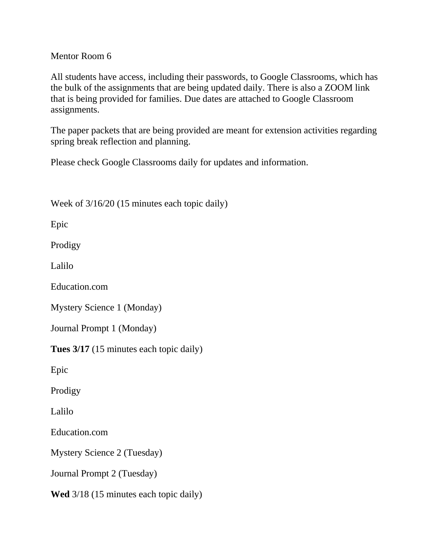## Mentor Room 6

All students have access, including their passwords, to Google Classrooms, which has the bulk of the assignments that are being updated daily. There is also a ZOOM link that is being provided for families. Due dates are attached to Google Classroom assignments.

The paper packets that are being provided are meant for extension activities regarding spring break reflection and planning.

Please check Google Classrooms daily for updates and information.

Week of  $3/16/20$  (15 minutes each topic daily)

Epic

Prodigy

Lalilo

Education.com

Mystery Science 1 (Monday)

Journal Prompt 1 (Monday)

**Tues 3/17** (15 minutes each topic daily)

Epic

Prodigy

Lalilo

Education.com

Mystery Science 2 (Tuesday)

Journal Prompt 2 (Tuesday)

**Wed** 3/18 (15 minutes each topic daily)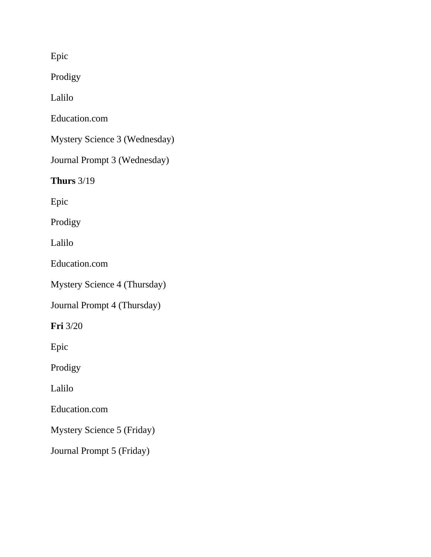Epic

Prodigy

Lalilo

Education.com

Mystery Science 3 (Wednesday)

Journal Prompt 3 (Wednesday)

**Thurs** 3/19

Epic

Prodigy

Lalilo

Education.com

Mystery Science 4 (Thursday)

Journal Prompt 4 (Thursday)

**Fri** 3/20

Epic

Prodigy

Lalilo

Education.com

Mystery Science 5 (Friday)

Journal Prompt 5 (Friday)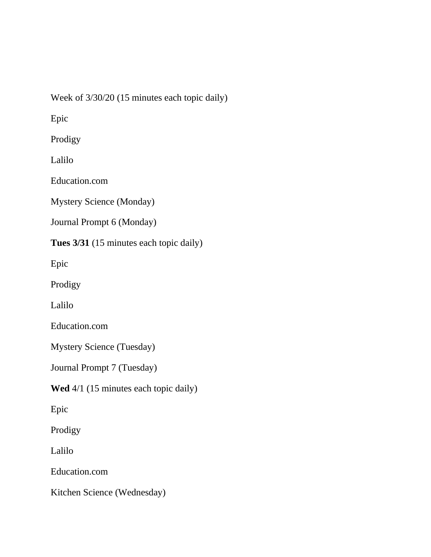Week of 3/30/20 (15 minutes each topic daily)

Epic

Prodigy

Lalilo

Education.com

Mystery Science (Monday)

Journal Prompt 6 (Monday)

**Tues 3/31** (15 minutes each topic daily)

Epic

Prodigy

Lalilo

Education.com

Mystery Science (Tuesday)

Journal Prompt 7 (Tuesday)

**Wed** 4/1 (15 minutes each topic daily)

Epic

Prodigy

Lalilo

Education.com

Kitchen Science (Wednesday)